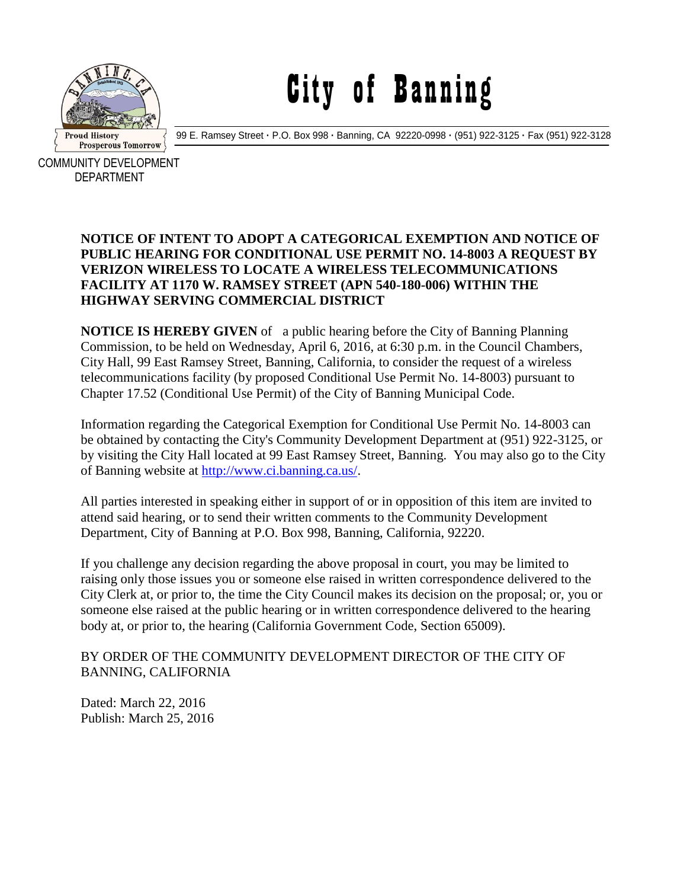

## City of Banning

99 E. Ramsey Street **·** P.O. Box 998 **·** Banning, CA 92220-0998 **·** (951) 922-3125 **·** Fax (951) 922-3128

COMMUNITY DEVELOPMENT DEPARTMENT

## **NOTICE OF INTENT TO ADOPT A CATEGORICAL EXEMPTION AND NOTICE OF PUBLIC HEARING FOR CONDITIONAL USE PERMIT NO. 14-8003 A REQUEST BY VERIZON WIRELESS TO LOCATE A WIRELESS TELECOMMUNICATIONS FACILITY AT 1170 W. RAMSEY STREET (APN 540-180-006) WITHIN THE HIGHWAY SERVING COMMERCIAL DISTRICT**

**NOTICE IS HEREBY GIVEN** of a public hearing before the City of Banning Planning Commission, to be held on Wednesday, April 6, 2016, at 6:30 p.m. in the Council Chambers, City Hall, 99 East Ramsey Street, Banning, California, to consider the request of a wireless telecommunications facility (by proposed Conditional Use Permit No. 14-8003) pursuant to Chapter 17.52 (Conditional Use Permit) of the City of Banning Municipal Code.

Information regarding the Categorical Exemption for Conditional Use Permit No. 14-8003 can be obtained by contacting the City's Community Development Department at (951) 922-3125, or by visiting the City Hall located at 99 East Ramsey Street, Banning. You may also go to the City of Banning website at [http://www.ci.banning.ca.us/.](http://www.ci.banning.ca.us/)

All parties interested in speaking either in support of or in opposition of this item are invited to attend said hearing, or to send their written comments to the Community Development Department, City of Banning at P.O. Box 998, Banning, California, 92220.

If you challenge any decision regarding the above proposal in court, you may be limited to raising only those issues you or someone else raised in written correspondence delivered to the City Clerk at, or prior to, the time the City Council makes its decision on the proposal; or, you or someone else raised at the public hearing or in written correspondence delivered to the hearing body at, or prior to, the hearing (California Government Code, Section 65009).

## BY ORDER OF THE COMMUNITY DEVELOPMENT DIRECTOR OF THE CITY OF BANNING, CALIFORNIA

Dated: March 22, 2016 Publish: March 25, 2016